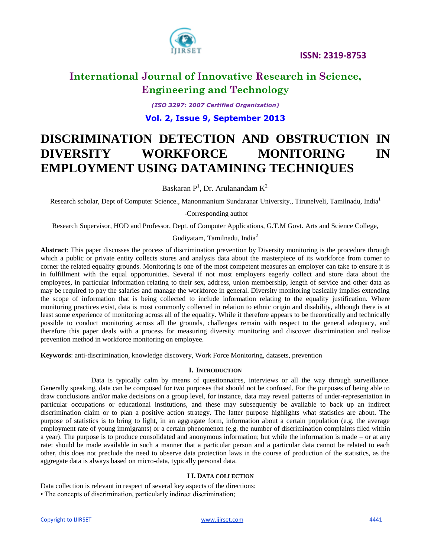



*(ISO 3297: 2007 Certified Organization)* **Vol. 2, Issue 9, September 2013**

# **DISCRIMINATION DETECTION AND OBSTRUCTION IN DIVERSITY WORKFORCE MONITORING IN EMPLOYMENT USING DATAMINING TECHNIQUES**

Baskaran  $P^1$ , Dr. Arulanandam  $K^{2}$ .

Research scholar, Dept of Computer Science., Manonmanium Sundaranar University., Tirunelveli, Tamilnadu, India<sup>1</sup>

-Corresponding author

Research Supervisor, HOD and Professor, Dept. of Computer Applications, G.T.M Govt. Arts and Science College,

Gudiyatam, Tamilnadu, India $^{2}$ 

**Abstract**: This paper discusses the process of discrimination prevention by Diversity monitoring is the procedure through which a public or private entity collects stores and analysis data about the masterpiece of its workforce from corner to corner the related equality grounds. Monitoring is one of the most competent measures an employer can take to ensure it is in fulfillment with the equal opportunities. Several if not most employers eagerly collect and store data about the employees, in particular information relating to their sex, address, union membership, length of service and other data as may be required to pay the salaries and manage the workforce in general. Diversity monitoring basically implies extending the scope of information that is being collected to include information relating to the equality justification. Where monitoring practices exist, data is most commonly collected in relation to ethnic origin and disability, although there is at least some experience of monitoring across all of the equality. While it therefore appears to be theoretically and technically possible to conduct monitoring across all the grounds, challenges remain with respect to the general adequacy, and therefore this paper deals with a process for measuring diversity monitoring and discover discrimination and realize prevention method in workforce monitoring on employee.

**Keywords**: anti-discrimination, knowledge discovery, Work Force Monitoring, datasets, prevention

### **I. INTRODUCTION**

Data is typically calm by means of questionnaires, interviews or all the way through surveillance. Generally speaking, data can be composed for two purposes that should not be confused. For the purposes of being able to draw conclusions and/or make decisions on a group level, for instance, data may reveal patterns of under-representation in particular occupations or educational institutions, and these may subsequently be available to back up an indirect discrimination claim or to plan a positive action strategy. The latter purpose highlights what statistics are about. The purpose of statistics is to bring to light, in an aggregate form, information about a certain population (e.g. the average employment rate of young immigrants) or a certain phenomenon (e.g. the number of discrimination complaints filed within a year). The purpose is to produce consolidated and anonymous information; but while the information is made – or at any rate: should be made available in such a manner that a particular person and a particular data cannot be related to each other, this does not preclude the need to observe data protection laws in the course of production of the statistics, as the aggregate data is always based on micro-data, typically personal data.

### **I I. DATA COLLECTION**

Data collection is relevant in respect of several key aspects of the directions:

• The concepts of discrimination, particularly indirect discrimination;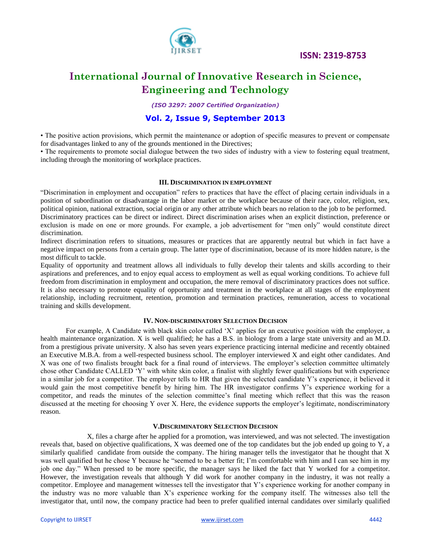

 **ISSN: 2319-8753**

## **International Journal of Innovative Research in Science, Engineering and Technology**

*(ISO 3297: 2007 Certified Organization)*

### **Vol. 2, Issue 9, September 2013**

• The positive action provisions, which permit the maintenance or adoption of specific measures to prevent or compensate for disadvantages linked to any of the grounds mentioned in the Directives;

• The requirements to promote social dialogue between the two sides of industry with a view to fostering equal treatment, including through the monitoring of workplace practices.

### **III. DISCRIMINATION IN EMPLOYMENT**

"Discrimination in employment and occupation" refers to practices that have the effect of placing certain individuals in a position of subordination or disadvantage in the labor market or the workplace because of their race, color, religion, sex, political opinion, national extraction, social origin or any other attribute which bears no relation to the job to be performed.

Discriminatory practices can be direct or indirect. Direct discrimination arises when an explicit distinction, preference or exclusion is made on one or more grounds. For example, a job advertisement for "men only" would constitute direct discrimination.

Indirect discrimination refers to situations, measures or practices that are apparently neutral but which in fact have a negative impact on persons from a certain group. The latter type of discrimination, because of its more hidden nature, is the most difficult to tackle.

Equality of opportunity and treatment allows all individuals to fully develop their talents and skills according to their aspirations and preferences, and to enjoy equal access to employment as well as equal working conditions. To achieve full freedom from discrimination in employment and occupation, the mere removal of discriminatory practices does not suffice. It is also necessary to promote equality of opportunity and treatment in the workplace at all stages of the employment relationship, including recruitment, retention, promotion and termination practices, remuneration, access to vocational training and skills development.

#### **IV. NON-DISCRIMINATORY SELECTION DECISION**

For example, A Candidate with black skin color called "X" applies for an executive position with the employer, a health maintenance organization. X is well qualified; he has a B.S. in biology from a large state university and an M.D. from a prestigious private university. X also has seven years experience practicing internal medicine and recently obtained an Executive M.B.A. from a well-respected business school. The employer interviewed X and eight other candidates. And X was one of two finalists brought back for a final round of interviews. The employer's selection committee ultimately chose other Candidate CALLED "Y" with white skin color, a finalist with slightly fewer qualifications but with experience in a similar job for a competitor. The employer tells to HR that given the selected candidate Y"s experience, it believed it would gain the most competitive benefit by hiring him. The HR investigator confirms Y"s experience working for a competitor, and reads the minutes of the selection committee"s final meeting which reflect that this was the reason discussed at the meeting for choosing Y over X. Here, the evidence supports the employer's legitimate, nondiscriminatory reason.

### **V.DISCRIMINATORY SELECTION DECISION**

 X, files a charge after he applied for a promotion, was interviewed, and was not selected. The investigation reveals that, based on objective qualifications, X was deemed one of the top candidates but the job ended up going to Y, a similarly qualified candidate from outside the company. The hiring manager tells the investigator that he thought that X was well qualified but he chose Y because he "seemed to be a better fit; I'm comfortable with him and I can see him in my job one day." When pressed to be more specific, the manager says he liked the fact that Y worked for a competitor. However, the investigation reveals that although Y did work for another company in the industry, it was not really a competitor. Employee and management witnesses tell the investigator that Y"s experience working for another company in the industry was no more valuable than X"s experience working for the company itself. The witnesses also tell the investigator that, until now, the company practice had been to prefer qualified internal candidates over similarly qualified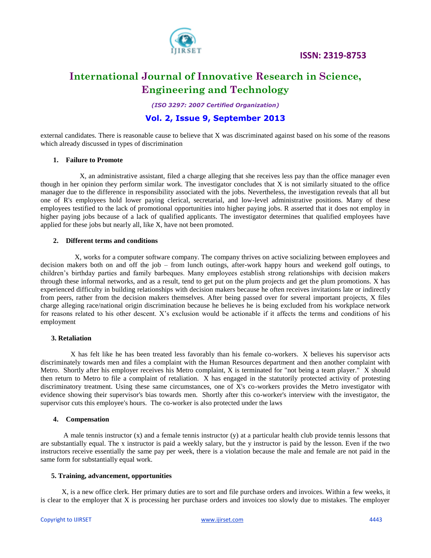

 **ISSN: 2319-8753**

## **International Journal of Innovative Research in Science, Engineering and Technology**

*(ISO 3297: 2007 Certified Organization)*

### **Vol. 2, Issue 9, September 2013**

external candidates. There is reasonable cause to believe that X was discriminated against based on his some of the reasons which already discussed in types of discrimination

### **1. Failure to Promote**

 X, an administrative assistant, filed a charge alleging that she receives less pay than the office manager even though in her opinion they perform similar work. The investigator concludes that X is not similarly situated to the office manager due to the difference in responsibility associated with the jobs. Nevertheless, the investigation reveals that all but one of R's employees hold lower paying clerical, secretarial, and low-level administrative positions. Many of these employees testified to the lack of promotional opportunities into higher paying jobs. R asserted that it does not employ in higher paying jobs because of a lack of qualified applicants. The investigator determines that qualified employees have applied for these jobs but nearly all, like X, have not been promoted.

### **2. Different terms and conditions**

 X, works for a computer software company. The company thrives on active socializing between employees and decision makers both on and off the job – from lunch outings, after-work happy hours and weekend golf outings, to children"s birthday parties and family barbeques. Many employees establish strong relationships with decision makers through these informal networks, and as a result, tend to get put on the plum projects and get the plum promotions. X has experienced difficulty in building relationships with decision makers because he often receives invitations late or indirectly from peers, rather from the decision makers themselves. After being passed over for several important projects, X files charge alleging race/national origin discrimination because he believes he is being excluded from his workplace network for reasons related to his other descent. X"s exclusion would be actionable if it affects the terms and conditions of his employment

### **3. Retaliation**

 X has felt like he has been treated less favorably than his female co-workers. X believes his supervisor acts discriminately towards men and files a complaint with the Human Resources department and then another complaint with Metro. Shortly after his employer receives his Metro complaint, X is terminated for "not being a team player." X should then return to Metro to file a complaint of retaliation. X has engaged in the statutorily protected activity of protesting discriminatory treatment. Using these same circumstances, one of X's co-workers provides the Metro investigator with evidence showing their supervisor's bias towards men. Shortly after this co-worker's interview with the investigator, the supervisor cuts this employee's hours. The co-worker is also protected under the laws

### **4. Compensation**

A male tennis instructor  $(x)$  and a female tennis instructor  $(y)$  at a particular health club provide tennis lessons that are substantially equal. The x instructor is paid a weekly salary, but the y instructor is paid by the lesson. Even if the two instructors receive essentially the same pay per week, there is a violation because the male and female are not paid in the same form for substantially equal work.

### **5. Training, advancement, opportunities**

 X, is a new office clerk. Her primary duties are to sort and file purchase orders and invoices. Within a few weeks, it is clear to the employer that X is processing her purchase orders and invoices too slowly due to mistakes. The employer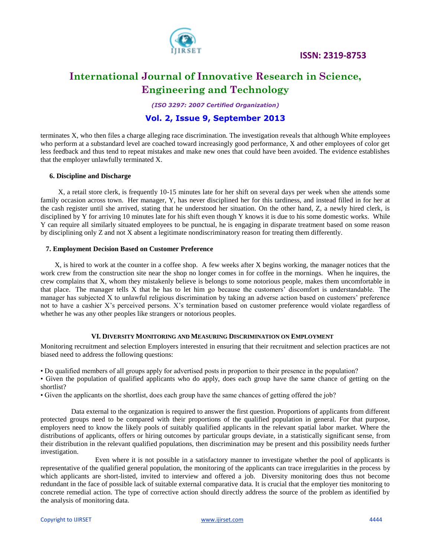

 **ISSN: 2319-8753**

## **International Journal of Innovative Research in Science, Engineering and Technology**

*(ISO 3297: 2007 Certified Organization)*

### **Vol. 2, Issue 9, September 2013**

terminates X, who then files a charge alleging race discrimination. The investigation reveals that although White employees who perform at a substandard level are coached toward increasingly good performance, X and other employees of color get less feedback and thus tend to repeat mistakes and make new ones that could have been avoided. The evidence establishes that the employer unlawfully terminated X.

### **6. Discipline and Discharge**

 X, a retail store clerk, is frequently 10-15 minutes late for her shift on several days per week when she attends some family occasion across town. Her manager, Y, has never disciplined her for this tardiness, and instead filled in for her at the cash register until she arrived, stating that he understood her situation. On the other hand, Z, a newly hired clerk, is disciplined by Y for arriving 10 minutes late for his shift even though Y knows it is due to his some domestic works. While Y can require all similarly situated employees to be punctual, he is engaging in disparate treatment based on some reason by disciplining only Z and not X absent a legitimate nondiscriminatory reason for treating them differently.

### **7. Employment Decision Based on Customer Preference**

 X, is hired to work at the counter in a coffee shop. A few weeks after X begins working, the manager notices that the work crew from the construction site near the shop no longer comes in for coffee in the mornings. When he inquires, the crew complains that X, whom they mistakenly believe is belongs to some notorious people, makes them uncomfortable in that place. The manager tells X that he has to let him go because the customers" discomfort is understandable. The manager has subjected X to unlawful religious discrimination by taking an adverse action based on customers" preference not to have a cashier X"s perceived persons. X"s termination based on customer preference would violate regardless of whether he was any other peoples like strangers or notorious peoples.

### **VI. DIVERSITY MONITORING AND MEASURING DISCRIMINATION ON EMPLOYMENT**

Monitoring recruitment and selection Employers interested in ensuring that their recruitment and selection practices are not biased need to address the following questions:

• Do qualified members of all groups apply for advertised posts in proportion to their presence in the population?

• Given the population of qualified applicants who do apply, does each group have the same chance of getting on the shortlist?

• Given the applicants on the shortlist, does each group have the same chances of getting offered the job?

 Data external to the organization is required to answer the first question. Proportions of applicants from different protected groups need to be compared with their proportions of the qualified population in general. For that purpose, employers need to know the likely pools of suitably qualified applicants in the relevant spatial labor market. Where the distributions of applicants, offers or hiring outcomes by particular groups deviate, in a statistically significant sense, from their distribution in the relevant qualified populations, then discrimination may be present and this possibility needs further investigation.

 Even where it is not possible in a satisfactory manner to investigate whether the pool of applicants is representative of the qualified general population, the monitoring of the applicants can trace irregularities in the process by which applicants are short-listed, invited to interview and offered a job. Diversity monitoring does thus not become redundant in the face of possible lack of suitable external comparative data. It is crucial that the employer ties monitoring to concrete remedial action. The type of corrective action should directly address the source of the problem as identified by the analysis of monitoring data.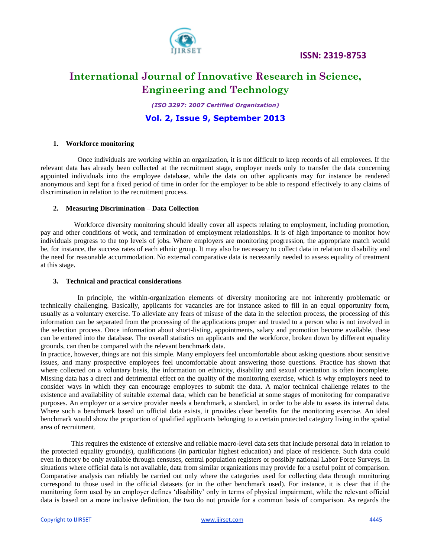



*(ISO 3297: 2007 Certified Organization)*

**Vol. 2, Issue 9, September 2013**

### **1. Workforce monitoring**

 Once individuals are working within an organization, it is not difficult to keep records of all employees. If the relevant data has already been collected at the recruitment stage, employer needs only to transfer the data concerning appointed individuals into the employee database, while the data on other applicants may for instance be rendered anonymous and kept for a fixed period of time in order for the employer to be able to respond effectively to any claims of discrimination in relation to the recruitment process.

### **2. Measuring Discrimination – Data Collection**

 Workforce diversity monitoring should ideally cover all aspects relating to employment, including promotion, pay and other conditions of work, and termination of employment relationships. It is of high importance to monitor how individuals progress to the top levels of jobs. Where employers are monitoring progression, the appropriate match would be, for instance, the success rates of each ethnic group. It may also be necessary to collect data in relation to disability and the need for reasonable accommodation. No external comparative data is necessarily needed to assess equality of treatment at this stage.

### **3. Technical and practical considerations**

 In principle, the within-organization elements of diversity monitoring are not inherently problematic or technically challenging. Basically, applicants for vacancies are for instance asked to fill in an equal opportunity form, usually as a voluntary exercise. To alleviate any fears of misuse of the data in the selection process, the processing of this information can be separated from the processing of the applications proper and trusted to a person who is not involved in the selection process. Once information about short-listing, appointments, salary and promotion become available, these can be entered into the database. The overall statistics on applicants and the workforce, broken down by different equality grounds, can then be compared with the relevant benchmark data.

In practice, however, things are not this simple. Many employers feel uncomfortable about asking questions about sensitive issues, and many prospective employees feel uncomfortable about answering those questions. Practice has shown that where collected on a voluntary basis, the information on ethnicity, disability and sexual orientation is often incomplete. Missing data has a direct and detrimental effect on the quality of the monitoring exercise, which is why employers need to consider ways in which they can encourage employees to submit the data. A major technical challenge relates to the existence and availability of suitable external data, which can be beneficial at some stages of monitoring for comparative purposes. An employer or a service provider needs a benchmark, a standard, in order to be able to assess its internal data. Where such a benchmark based on official data exists, it provides clear benefits for the monitoring exercise. An ideal benchmark would show the proportion of qualified applicants belonging to a certain protected category living in the spatial area of recruitment.

 This requires the existence of extensive and reliable macro-level data sets that include personal data in relation to the protected equality ground(s), qualifications (in particular highest education) and place of residence. Such data could even in theory be only available through censuses, central population registers or possibly national Labor Force Surveys. In situations where official data is not available, data from similar organizations may provide for a useful point of comparison. Comparative analysis can reliably be carried out only where the categories used for collecting data through monitoring correspond to those used in the official datasets (or in the other benchmark used). For instance, it is clear that if the monitoring form used by an employer defines "disability" only in terms of physical impairment, while the relevant official data is based on a more inclusive definition, the two do not provide for a common basis of comparison. As regards the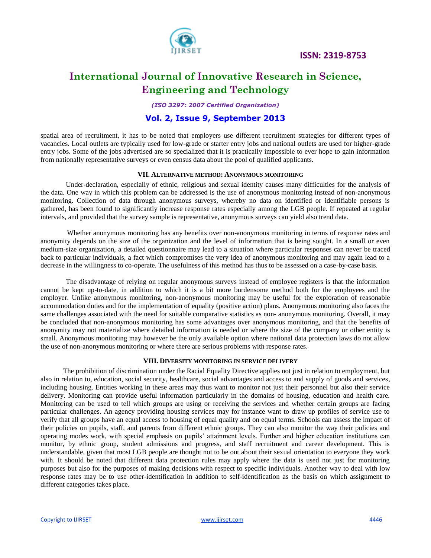

*(ISO 3297: 2007 Certified Organization)*

### **Vol. 2, Issue 9, September 2013**

spatial area of recruitment, it has to be noted that employers use different recruitment strategies for different types of vacancies. Local outlets are typically used for low-grade or starter entry jobs and national outlets are used for higher-grade entry jobs. Some of the jobs advertised are so specialized that it is practically impossible to ever hope to gain information from nationally representative surveys or even census data about the pool of qualified applicants.

### **VII. ALTERNATIVE METHOD: ANONYMOUS MONITORING**

Under-declaration, especially of ethnic, religious and sexual identity causes many difficulties for the analysis of the data. One way in which this problem can be addressed is the use of anonymous monitoring instead of non-anonymous monitoring. Collection of data through anonymous surveys, whereby no data on identified or identifiable persons is gathered, has been found to significantly increase response rates especially among the LGB people. If repeated at regular intervals, and provided that the survey sample is representative, anonymous surveys can yield also trend data.

 Whether anonymous monitoring has any benefits over non-anonymous monitoring in terms of response rates and anonymity depends on the size of the organization and the level of information that is being sought. In a small or even medium-size organization, a detailed questionnaire may lead to a situation where particular responses can never be traced back to particular individuals, a fact which compromises the very idea of anonymous monitoring and may again lead to a decrease in the willingness to co-operate. The usefulness of this method has thus to be assessed on a case-by-case basis.

The disadvantage of relying on regular anonymous surveys instead of employee registers is that the information cannot be kept up-to-date, in addition to which it is a bit more burdensome method both for the employees and the employer. Unlike anonymous monitoring, non-anonymous monitoring may be useful for the exploration of reasonable accommodation duties and for the implementation of equality (positive action) plans. Anonymous monitoring also faces the same challenges associated with the need for suitable comparative statistics as non- anonymous monitoring. Overall, it may be concluded that non-anonymous monitoring has some advantages over anonymous monitoring, and that the benefits of anonymity may not materialize where detailed information is needed or where the size of the company or other entity is small. Anonymous monitoring may however be the only available option where national data protection laws do not allow the use of non-anonymous monitoring or where there are serious problems with response rates.

### **VIII. DIVERSITY MONITORING IN SERVICE DELIVERY**

 The prohibition of discrimination under the Racial Equality Directive applies not just in relation to employment, but also in relation to, education, social security, healthcare, social advantages and access to and supply of goods and services, including housing. Entities working in these areas may thus want to monitor not just their personnel but also their service delivery. Monitoring can provide useful information particularly in the domains of housing, education and health care. Monitoring can be used to tell which groups are using or receiving the services and whether certain groups are facing particular challenges. An agency providing housing services may for instance want to draw up profiles of service use to verify that all groups have an equal access to housing of equal quality and on equal terms. Schools can assess the impact of their policies on pupils, staff, and parents from different ethnic groups. They can also monitor the way their policies and operating modes work, with special emphasis on pupils" attainment levels. Further and higher education institutions can monitor, by ethnic group, student admissions and progress, and staff recruitment and career development. This is understandable, given that most LGB people are thought not to be out about their sexual orientation to everyone they work with. It should be noted that different data protection rules may apply where the data is used not just for monitoring purposes but also for the purposes of making decisions with respect to specific individuals. Another way to deal with low response rates may be to use other-identification in addition to self-identification as the basis on which assignment to different categories takes place.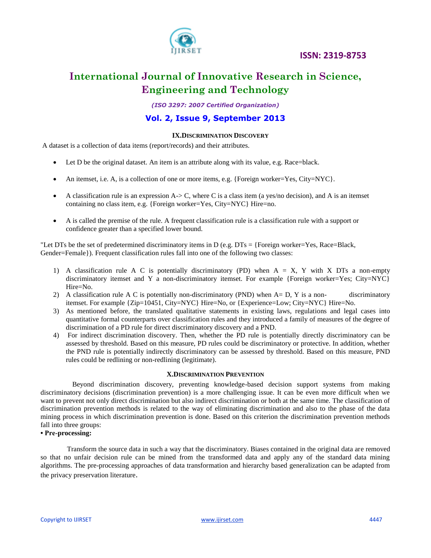



*(ISO 3297: 2007 Certified Organization)*

### **Vol. 2, Issue 9, September 2013**

### **IX.DISCRIMINATION DISCOVERY**

A dataset is a collection of data items (report/records) and their attributes.

- Let D be the original dataset. An item is an attribute along with its value, e.g. Race=black.
- An itemset, i.e. A, is a collection of one or more items, e.g. {Foreign worker=Yes,  $City=NYC$ }.
- A classification rule is an expression  $A \rightarrow C$ , where C is a class item (a yes/no decision), and A is an itemset containing no class item, e.g. {Foreign worker=Yes, City=NYC} Hire=no.
- A is called the premise of the rule. A frequent classification rule is a classification rule with a support or confidence greater than a specified lower bound.

"Let DTs be the set of predetermined discriminatory items in D (e.g.  $DTs = { Foreign worker=Yes, Race=Black,$ Gender=Female}). Frequent classification rules fall into one of the following two classes:

- 1) A classification rule A C is potentially discriminatory (PD) when A = X, Y with X DTs a non-empty discriminatory itemset and Y a non-discriminatory itemset. For example {Foreign worker=Yes; City=NYC} Hire=No.
- 2) A classification rule A C is potentially non-discriminatory (PND) when A= D, Y is a non- discriminatory itemset. For example {Zip=10451, City=NYC} Hire=No, or {Experience=Low; City=NYC} Hire=No.
- 3) As mentioned before, the translated qualitative statements in existing laws, regulations and legal cases into quantitative formal counterparts over classification rules and they introduced a family of measures of the degree of discrimination of a PD rule for direct discriminatory discovery and a PND.
- 4) For indirect discrimination discovery. Then, whether the PD rule is potentially directly discriminatory can be assessed by threshold. Based on this measure, PD rules could be discriminatory or protective. In addition, whether the PND rule is potentially indirectly discriminatory can be assessed by threshold. Based on this measure, PND rules could be redlining or non-redlining (legitimate).

### **X.DISCRIMINATION PREVENTION**

 Beyond discrimination discovery, preventing knowledge-based decision support systems from making discriminatory decisions (discrimination prevention) is a more challenging issue. It can be even more difficult when we want to prevent not only direct discrimination but also indirect discrimination or both at the same time. The classification of discrimination prevention methods is related to the way of eliminating discrimination and also to the phase of the data mining process in which discrimination prevention is done. Based on this criterion the discrimination prevention methods fall into three groups:

### **• Pre-processing:**

 Transform the source data in such a way that the discriminatory. Biases contained in the original data are removed so that no unfair decision rule can be mined from the transformed data and apply any of the standard data mining algorithms. The pre-processing approaches of data transformation and hierarchy based generalization can be adapted from the privacy preservation literature.